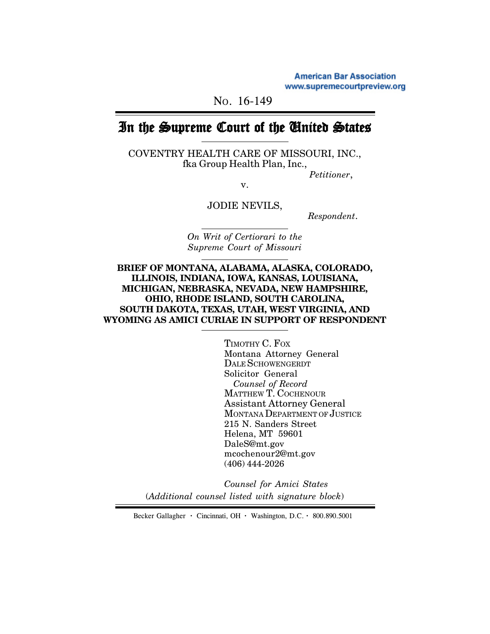**American Bar Association** www.supremecourtpreview.org

NO. 16-149

# In the Supreme Court of the United States

COVENTRY HEALTH CARE OF MISSOURI, INC., fka Group Health Plan, Inc.,

*Petitioner*,

v.

JODIE NEVILS,

 *Respondent*.

*On Writ of Certiorari to the Supreme Court of Missouri*

**BRIEF OF MONTANA, ALABAMA, ALASKA, COLORADO, ILLINOIS, INDIANA, IOWA, KANSAS, LOUISIANA, MICHIGAN, NEBRASKA, NEVADA, NEW HAMPSHIRE, OHIO, RHODE ISLAND, SOUTH CAROLINA, SOUTH DAKOTA, TEXAS, UTAH, WEST VIRGINIA, AND WYOMING AS AMICI CURIAE IN SUPPORT OF RESPONDENT**

> TIMOTHY C. FOX Montana Attorney General DALE SCHOWENGERDT Solicitor General *Counsel of Record* MATTHEW T. COCHENOUR Assistant Attorney General MONTANA DEPARTMENT OF JUSTICE 215 N. Sanders Street Helena, MT 59601 DaleS@mt.gov mcochenour2@mt.gov (406) 444-2026

*Counsel for Amici States* (*Additional counsel listed with signature block*)

Becker Gallagher **·** Cincinnati, OH **·** Washington, D.C. **·** 800.890.5001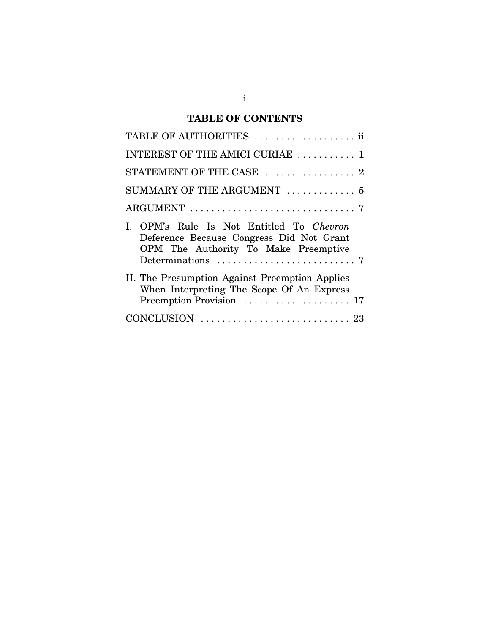# **TABLE OF CONTENTS**

| TABLE OF AUTHORITIES  ii                                                                                                     |
|------------------------------------------------------------------------------------------------------------------------------|
| INTEREST OF THE AMICI CURIAE  1                                                                                              |
| STATEMENT OF THE CASE  2                                                                                                     |
| SUMMARY OF THE ARGUMENT  5                                                                                                   |
|                                                                                                                              |
| I. OPM's Rule Is Not Entitled To Chevron<br>Deference Because Congress Did Not Grant<br>OPM The Authority To Make Preemptive |
| II. The Presumption Against Preemption Applies<br>When Interpreting The Scope Of An Express                                  |
|                                                                                                                              |
|                                                                                                                              |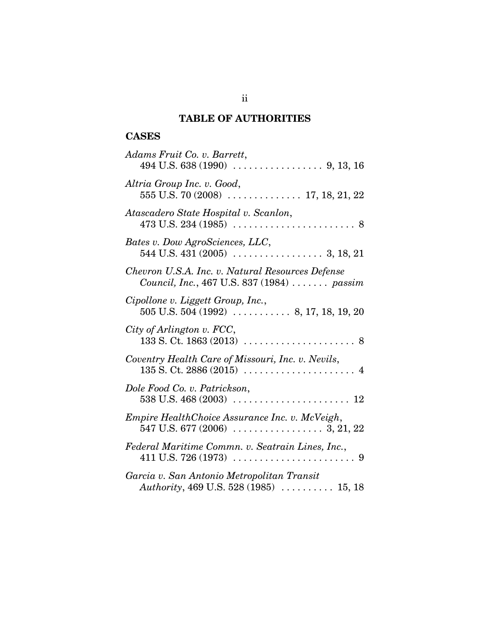# **TABLE OF AUTHORITIES**

# **CASES**

| Adams Fruit Co. v. Barrett,                                                                                                                                   |
|---------------------------------------------------------------------------------------------------------------------------------------------------------------|
| Altria Group Inc. v. Good,<br>555 U.S. 70 (2008)  17, 18, 21, 22                                                                                              |
| Atascadero State Hospital v. Scanlon,<br>$473 \text{ U.S. } 234 \text{ (1985)} \dots \dots \dots \dots \dots \dots \dots \dots \dots \dots \dots \dots \dots$ |
| Bates v. Dow AgroSciences, LLC,                                                                                                                               |
| Chevron U.S.A. Inc. v. Natural Resources Defense<br>Council, Inc., 467 U.S. 837 (1984)  passim                                                                |
| Cipollone v. Liggett Group, Inc.,<br>$505$ U.S. $504$ (1992) $\ldots$ 8, 17, 18, 19, 20                                                                       |
| City of Arlington v. FCC,<br>$133 S. Ct. 1863 (2013) \ldots \ldots \ldots \ldots \ldots \ldots 8$                                                             |
| Coventry Health Care of Missouri, Inc. v. Nevils,                                                                                                             |
| Dole Food Co. v. Patrickson,                                                                                                                                  |
| Empire HealthChoice Assurance Inc. v. McVeigh,                                                                                                                |
| Federal Maritime Commn. v. Seatrain Lines, Inc.,                                                                                                              |
| Garcia v. San Antonio Metropolitan Transit<br>Authority, 469 U.S. 528 (1985)  15, 18                                                                          |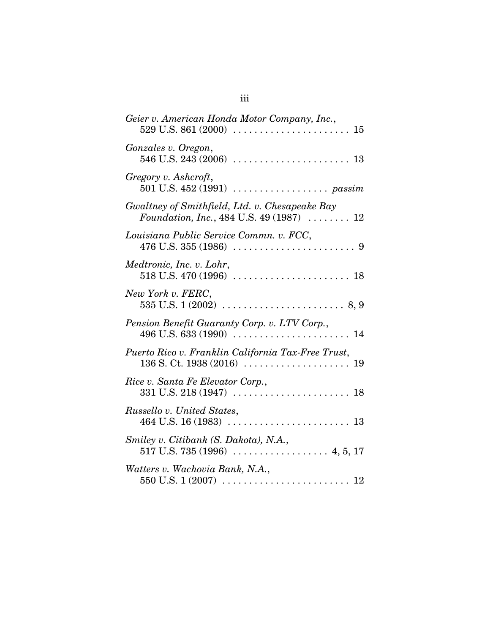| Geier v. American Honda Motor Company, Inc.,                                                       |
|----------------------------------------------------------------------------------------------------|
| Gonzales v. Oregon,                                                                                |
| Gregory v. Ashcroft,<br>501 U.S. $452(1991)$ passim                                                |
| Gwaltney of Smithfield, Ltd. v. Chesapeake Bay<br>Foundation, Inc., 484 U.S. 49 (1987) $\ldots$ 12 |
| Louisiana Public Service Commn. v. FCC,                                                            |
| Medtronic, Inc. v. Lohr,                                                                           |
| New York v. FERC,                                                                                  |
| Pension Benefit Guaranty Corp. v. LTV Corp.,                                                       |
| Puerto Rico v. Franklin California Tax-Free Trust,                                                 |
| Rice v. Santa Fe Elevator Corp.,                                                                   |
| Russello v. United States,                                                                         |
| Smiley v. Citibank (S. Dakota), N.A.,                                                              |
| Watters v. Wachovia Bank, N.A.,                                                                    |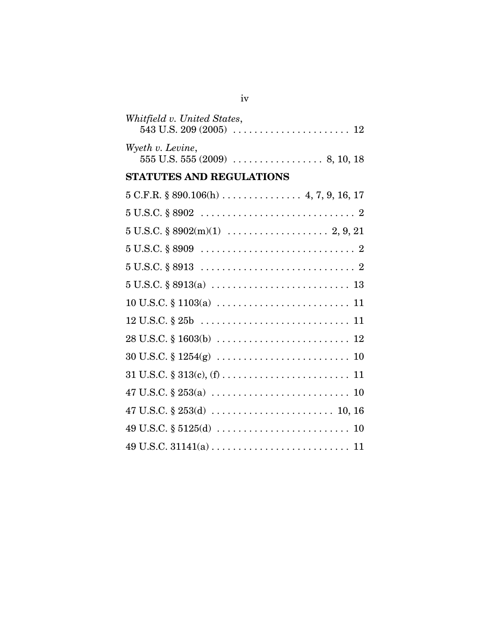| Whitfield v. United States,                                                                      |
|--------------------------------------------------------------------------------------------------|
| Wyeth v. Levine,                                                                                 |
| <b>STATUTES AND REGULATIONS</b>                                                                  |
|                                                                                                  |
|                                                                                                  |
|                                                                                                  |
|                                                                                                  |
|                                                                                                  |
|                                                                                                  |
|                                                                                                  |
|                                                                                                  |
| $28 \text{ U.S.C.} \S 1603(b) \ldots \ldots \ldots \ldots \ldots \ldots \ldots \ldots \ldots 12$ |
| $30 \text{ U.S.C.} \S 1254(g) \ldots \ldots \ldots \ldots \ldots \ldots \ldots \ldots \ldots 10$ |
|                                                                                                  |
|                                                                                                  |
|                                                                                                  |
|                                                                                                  |
|                                                                                                  |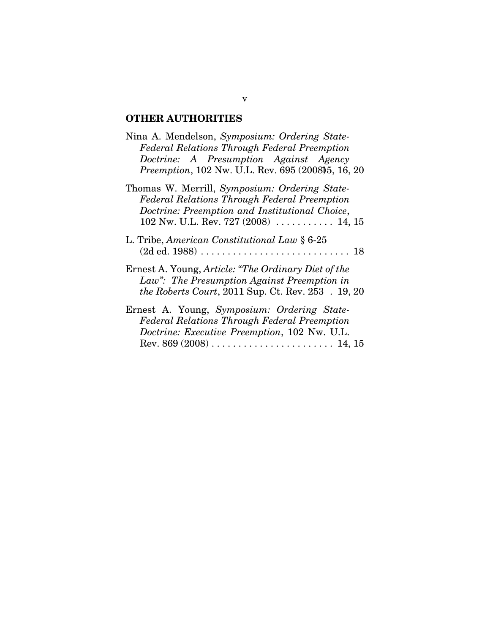# **OTHER AUTHORITIES**

| Nina A. Mendelson, Symposium: Ordering State-<br><b>Federal Relations Through Federal Preemption</b><br>Doctrine: A Presumption Against Agency<br>Preemption, 102 Nw. U.L. Rev. 695 (2008) 5, 16, 20  |
|-------------------------------------------------------------------------------------------------------------------------------------------------------------------------------------------------------|
| Thomas W. Merrill, Symposium: Ordering State-<br><b>Federal Relations Through Federal Preemption</b><br>Doctrine: Preemption and Institutional Choice,<br>102 Nw. U.L. Rev. 727 (2008) $\dots$ 14, 15 |
| L. Tribe, American Constitutional Law § 6-25                                                                                                                                                          |
| Ernest A. Young, <i>Article: "The Ordinary Diet of the</i><br>Law": The Presumption Against Preemption in<br><i>the Roberts Court, 2011 Sup. Ct. Rev. 253 . 19, 20</i>                                |
| Ernest A. Young, Symposium: Ordering State-<br><b>Federal Relations Through Federal Preemption</b><br>Doctrine: Executive Preemption, 102 Nw. U.L.                                                    |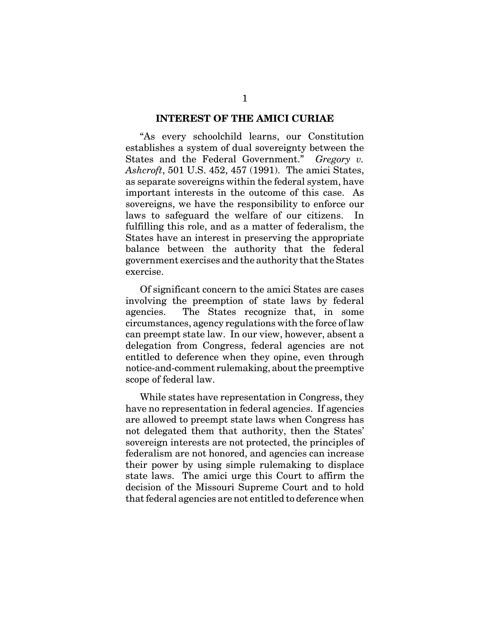#### **INTEREST OF THE AMICI CURIAE**

"As every schoolchild learns, our Constitution establishes a system of dual sovereignty between the States and the Federal Government." *Gregory v. Ashcroft*, 501 U.S. 452, 457 (1991). The amici States, as separate sovereigns within the federal system, have important interests in the outcome of this case. As sovereigns, we have the responsibility to enforce our laws to safeguard the welfare of our citizens. In fulfilling this role, and as a matter of federalism, the States have an interest in preserving the appropriate balance between the authority that the federal government exercises and the authority that the States exercise.

Of significant concern to the amici States are cases involving the preemption of state laws by federal agencies. The States recognize that, in some circumstances, agency regulations with the force of law can preempt state law. In our view, however, absent a delegation from Congress, federal agencies are not entitled to deference when they opine, even through notice-and-comment rulemaking, about the preemptive scope of federal law.

While states have representation in Congress, they have no representation in federal agencies. If agencies are allowed to preempt state laws when Congress has not delegated them that authority, then the States' sovereign interests are not protected, the principles of federalism are not honored, and agencies can increase their power by using simple rulemaking to displace state laws. The amici urge this Court to affirm the decision of the Missouri Supreme Court and to hold that federal agencies are not entitled to deference when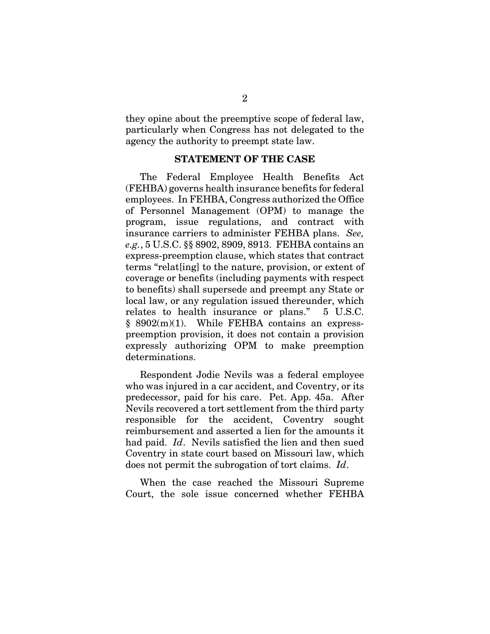they opine about the preemptive scope of federal law, particularly when Congress has not delegated to the agency the authority to preempt state law.

#### **STATEMENT OF THE CASE**

The Federal Employee Health Benefits Act (FEHBA) governs health insurance benefits for federal employees. In FEHBA, Congress authorized the Office of Personnel Management (OPM) to manage the program, issue regulations, and contract with insurance carriers to administer FEHBA plans. *See, e.g.*, 5 U.S.C. §§ 8902, 8909, 8913. FEHBA contains an express-preemption clause, which states that contract terms "relat[ing] to the nature, provision, or extent of coverage or benefits (including payments with respect to benefits) shall supersede and preempt any State or local law, or any regulation issued thereunder, which relates to health insurance or plans." 5 U.S.C. § 8902(m)(1). While FEHBA contains an expresspreemption provision, it does not contain a provision expressly authorizing OPM to make preemption determinations.

Respondent Jodie Nevils was a federal employee who was injured in a car accident, and Coventry, or its predecessor, paid for his care. Pet. App. 45a. After Nevils recovered a tort settlement from the third party responsible for the accident, Coventry sought reimbursement and asserted a lien for the amounts it had paid. *Id*. Nevils satisfied the lien and then sued Coventry in state court based on Missouri law, which does not permit the subrogation of tort claims. *Id*.

When the case reached the Missouri Supreme Court, the sole issue concerned whether FEHBA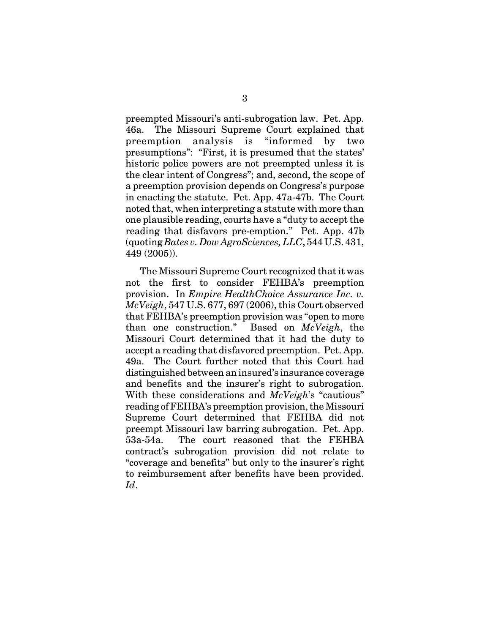preempted Missouri's anti-subrogation law. Pet. App. 46a. The Missouri Supreme Court explained that preemption analysis is "informed by two presumptions": "First, it is presumed that the states' historic police powers are not preempted unless it is the clear intent of Congress"; and, second, the scope of a preemption provision depends on Congress's purpose in enacting the statute. Pet. App. 47a-47b. The Court noted that, when interpreting a statute with more than one plausible reading, courts have a "duty to accept the reading that disfavors pre-emption." Pet. App. 47b (quoting *Bates v. Dow AgroSciences, LLC*, 544 U.S. 431, 449 (2005)).

The Missouri Supreme Court recognized that it was not the first to consider FEHBA's preemption provision. In *Empire HealthChoice Assurance Inc. v. McVeigh*, 547 U.S. 677, 697 (2006), this Court observed that FEHBA's preemption provision was "open to more than one construction." Based on *McVeigh*, the Missouri Court determined that it had the duty to accept a reading that disfavored preemption. Pet. App. 49a. The Court further noted that this Court had distinguished between an insured's insurance coverage and benefits and the insurer's right to subrogation. With these considerations and *McVeigh*'s "cautious" reading of FEHBA's preemption provision, the Missouri Supreme Court determined that FEHBA did not preempt Missouri law barring subrogation. Pet. App. 53a-54a. The court reasoned that the FEHBA contract's subrogation provision did not relate to "coverage and benefits" but only to the insurer's right to reimbursement after benefits have been provided. *Id*.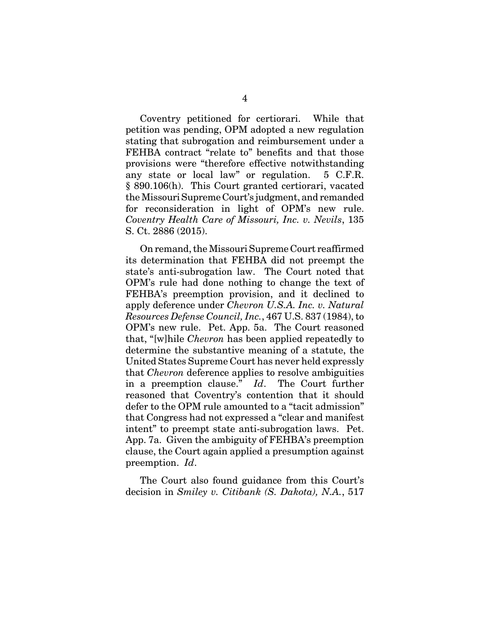Coventry petitioned for certiorari. While that petition was pending, OPM adopted a new regulation stating that subrogation and reimbursement under a FEHBA contract "relate to" benefits and that those provisions were "therefore effective notwithstanding any state or local law" or regulation. 5 C.F.R. § 890.106(h). This Court granted certiorari, vacated the Missouri Supreme Court's judgment, and remanded for reconsideration in light of OPM's new rule. *Coventry Health Care of Missouri, Inc. v. Nevils*, 135 S. Ct. 2886 (2015).

On remand, the Missouri Supreme Court reaffirmed its determination that FEHBA did not preempt the state's anti-subrogation law. The Court noted that OPM's rule had done nothing to change the text of FEHBA's preemption provision, and it declined to apply deference under *Chevron U.S.A. Inc. v. Natural Resources Defense Council, Inc.*, 467 U.S. 837 (1984), to OPM's new rule. Pet. App. 5a. The Court reasoned that, "[w]hile *Chevron* has been applied repeatedly to determine the substantive meaning of a statute, the United States Supreme Court has never held expressly that *Chevron* deference applies to resolve ambiguities in a preemption clause." *Id*. The Court further reasoned that Coventry's contention that it should defer to the OPM rule amounted to a "tacit admission" that Congress had not expressed a "clear and manifest intent" to preempt state anti-subrogation laws. Pet. App. 7a. Given the ambiguity of FEHBA's preemption clause, the Court again applied a presumption against preemption. *Id*.

The Court also found guidance from this Court's decision in *Smiley v. Citibank (S. Dakota), N.A.*, 517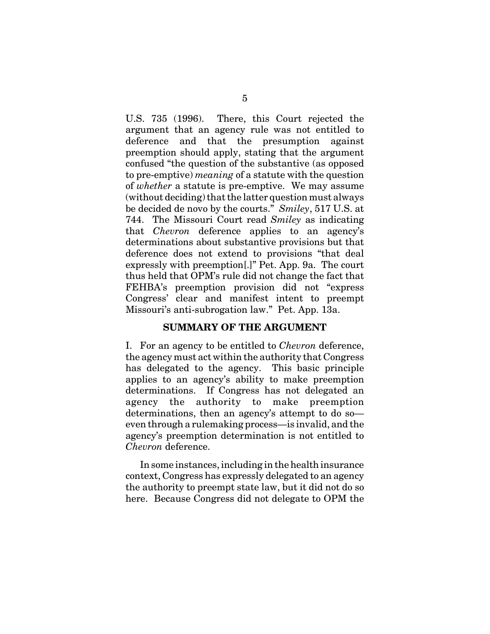U.S. 735 (1996). There, this Court rejected the argument that an agency rule was not entitled to deference and that the presumption against preemption should apply, stating that the argument confused "the question of the substantive (as opposed to pre-emptive) *meaning* of a statute with the question of *whether* a statute is pre-emptive. We may assume (without deciding) that the latter question must always be decided de novo by the courts." *Smiley*, 517 U.S. at 744. The Missouri Court read *Smiley* as indicating that *Chevron* deference applies to an agency's determinations about substantive provisions but that deference does not extend to provisions "that deal expressly with preemption[.]" Pet. App. 9a. The court thus held that OPM's rule did not change the fact that FEHBA's preemption provision did not "express Congress' clear and manifest intent to preempt Missouri's anti-subrogation law." Pet. App. 13a.

### **SUMMARY OF THE ARGUMENT**

I. For an agency to be entitled to *Chevron* deference, the agency must act within the authority that Congress has delegated to the agency. This basic principle applies to an agency's ability to make preemption determinations. If Congress has not delegated an agency the authority to make preemption determinations, then an agency's attempt to do so even through a rulemaking process—is invalid, and the agency's preemption determination is not entitled to *Chevron* deference.

In some instances, including in the health insurance context, Congress has expressly delegated to an agency the authority to preempt state law, but it did not do so here. Because Congress did not delegate to OPM the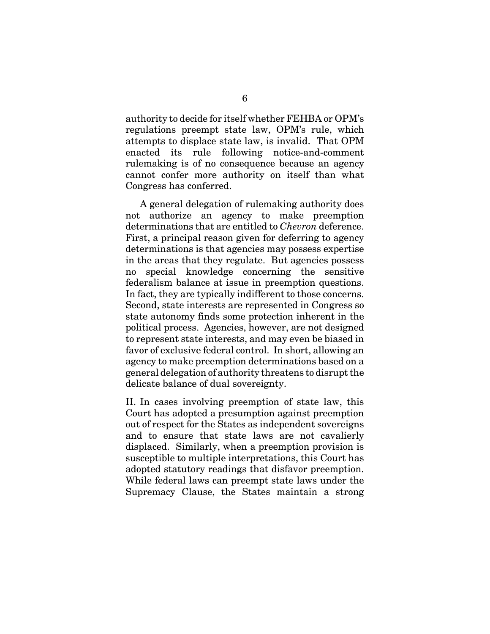authority to decide for itself whether FEHBA or OPM's regulations preempt state law, OPM's rule, which attempts to displace state law, is invalid. That OPM enacted its rule following notice-and-comment rulemaking is of no consequence because an agency cannot confer more authority on itself than what Congress has conferred.

A general delegation of rulemaking authority does not authorize an agency to make preemption determinations that are entitled to *Chevron* deference. First, a principal reason given for deferring to agency determinations is that agencies may possess expertise in the areas that they regulate. But agencies possess no special knowledge concerning the sensitive federalism balance at issue in preemption questions. In fact, they are typically indifferent to those concerns. Second, state interests are represented in Congress so state autonomy finds some protection inherent in the political process. Agencies, however, are not designed to represent state interests, and may even be biased in favor of exclusive federal control. In short, allowing an agency to make preemption determinations based on a general delegation of authority threatens to disrupt the delicate balance of dual sovereignty.

II. In cases involving preemption of state law, this Court has adopted a presumption against preemption out of respect for the States as independent sovereigns and to ensure that state laws are not cavalierly displaced. Similarly, when a preemption provision is susceptible to multiple interpretations, this Court has adopted statutory readings that disfavor preemption. While federal laws can preempt state laws under the Supremacy Clause, the States maintain a strong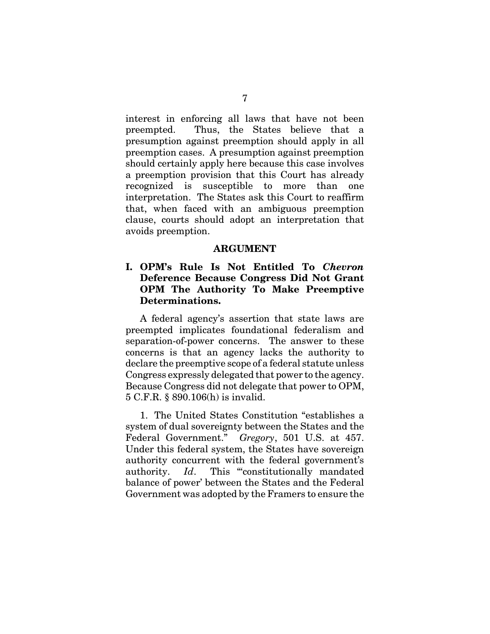interest in enforcing all laws that have not been preempted. Thus, the States believe that a presumption against preemption should apply in all preemption cases. A presumption against preemption should certainly apply here because this case involves a preemption provision that this Court has already recognized is susceptible to more than one interpretation. The States ask this Court to reaffirm that, when faced with an ambiguous preemption clause, courts should adopt an interpretation that avoids preemption.

#### **ARGUMENT**

## **I. OPM's Rule Is Not Entitled To** *Chevron* **Deference Because Congress Did Not Grant OPM The Authority To Make Preemptive Determinations.**

A federal agency's assertion that state laws are preempted implicates foundational federalism and separation-of-power concerns. The answer to these concerns is that an agency lacks the authority to declare the preemptive scope of a federal statute unless Congress expressly delegated that power to the agency. Because Congress did not delegate that power to OPM, 5 C.F.R. § 890.106(h) is invalid.

1. The United States Constitution "establishes a system of dual sovereignty between the States and the Federal Government." *Gregory*, 501 U.S. at 457. Under this federal system, the States have sovereign authority concurrent with the federal government's authority. *Id*. This "constitutionally mandated balance of power' between the States and the Federal Government was adopted by the Framers to ensure the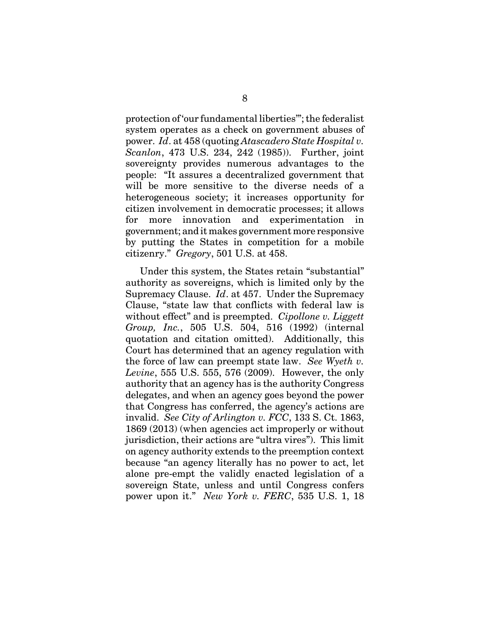protection of 'our fundamental liberties'"; the federalist system operates as a check on government abuses of power. *Id*. at 458 (quoting *Atascadero State Hospital v. Scanlon*, 473 U.S. 234, 242 (1985)). Further, joint sovereignty provides numerous advantages to the people: "It assures a decentralized government that will be more sensitive to the diverse needs of a heterogeneous society; it increases opportunity for citizen involvement in democratic processes; it allows for more innovation and experimentation in government; and it makes government more responsive by putting the States in competition for a mobile citizenry." *Gregory*, 501 U.S. at 458.

Under this system, the States retain "substantial" authority as sovereigns, which is limited only by the Supremacy Clause. *Id*. at 457. Under the Supremacy Clause, "state law that conflicts with federal law is without effect" and is preempted. *Cipollone v. Liggett Group, Inc.*, 505 U.S. 504, 516 (1992) (internal quotation and citation omitted). Additionally, this Court has determined that an agency regulation with the force of law can preempt state law. *See Wyeth v. Levine*, 555 U.S. 555, 576 (2009). However, the only authority that an agency has is the authority Congress delegates, and when an agency goes beyond the power that Congress has conferred, the agency's actions are invalid. *See City of Arlington v. FCC*, 133 S. Ct. 1863, 1869 (2013) (when agencies act improperly or without jurisdiction, their actions are "ultra vires"). This limit on agency authority extends to the preemption context because "an agency literally has no power to act, let alone pre-empt the validly enacted legislation of a sovereign State, unless and until Congress confers power upon it." *New York v. FERC*, 535 U.S. 1, 18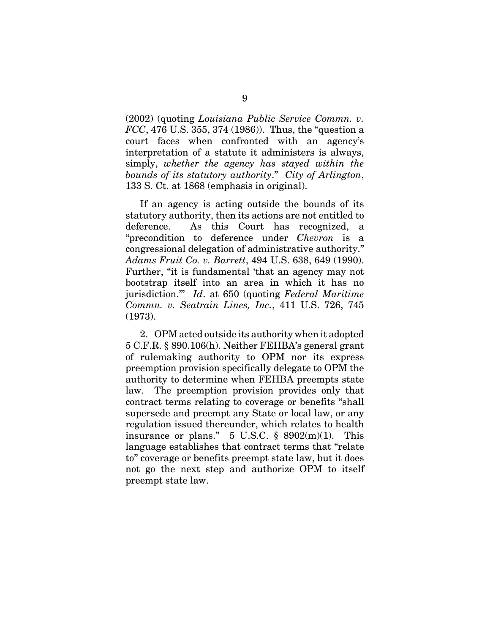(2002) (quoting *Louisiana Public Service Commn. v. FCC*, 476 U.S. 355, 374 (1986)). Thus, the "question a court faces when confronted with an agency's interpretation of a statute it administers is always, simply, *whether the agency has stayed within the bounds of its statutory authority*." *City of Arlington*, 133 S. Ct. at 1868 (emphasis in original).

If an agency is acting outside the bounds of its statutory authority, then its actions are not entitled to deference. As this Court has recognized, a "precondition to deference under *Chevron* is a congressional delegation of administrative authority." *Adams Fruit Co. v. Barrett*, 494 U.S. 638, 649 (1990). Further, "it is fundamental 'that an agency may not bootstrap itself into an area in which it has no jurisdiction.'" *Id*. at 650 (quoting *Federal Maritime Commn. v. Seatrain Lines, Inc.*, 411 U.S. 726, 745 (1973).

2. OPM acted outside its authority when it adopted 5 C.F.R. § 890.106(h). Neither FEHBA's general grant of rulemaking authority to OPM nor its express preemption provision specifically delegate to OPM the authority to determine when FEHBA preempts state law. The preemption provision provides only that contract terms relating to coverage or benefits "shall supersede and preempt any State or local law, or any regulation issued thereunder, which relates to health insurance or plans."  $5 \text{ U.S.C. }$  \$ 8902(m)(1). This language establishes that contract terms that "relate to" coverage or benefits preempt state law, but it does not go the next step and authorize OPM to itself preempt state law.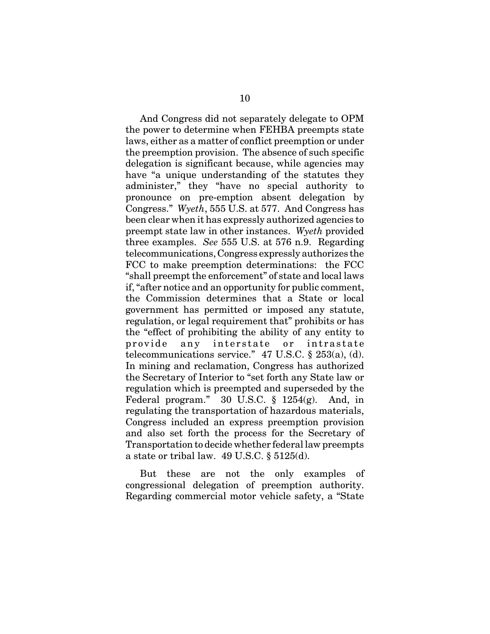And Congress did not separately delegate to OPM the power to determine when FEHBA preempts state laws, either as a matter of conflict preemption or under the preemption provision. The absence of such specific delegation is significant because, while agencies may have "a unique understanding of the statutes they administer," they "have no special authority to pronounce on pre-emption absent delegation by Congress." *Wyeth*, 555 U.S. at 577. And Congress has been clear when it has expressly authorized agencies to preempt state law in other instances. *Wyeth* provided three examples. *See* 555 U.S. at 576 n.9. Regarding telecommunications, Congress expressly authorizes the FCC to make preemption determinations: the FCC "shall preempt the enforcement" of state and local laws if, "after notice and an opportunity for public comment, the Commission determines that a State or local government has permitted or imposed any statute, regulation, or legal requirement that" prohibits or has the "effect of prohibiting the ability of any entity to provide any interstate or intrastate telecommunications service."  $47$  U.S.C.  $\S$  253(a), (d). In mining and reclamation, Congress has authorized the Secretary of Interior to "set forth any State law or regulation which is preempted and superseded by the Federal program." 30 U.S.C. § 1254(g). And, in regulating the transportation of hazardous materials, Congress included an express preemption provision and also set forth the process for the Secretary of Transportation to decide whether federal law preempts a state or tribal law. 49 U.S.C. § 5125(d).

But these are not the only examples of congressional delegation of preemption authority. Regarding commercial motor vehicle safety, a "State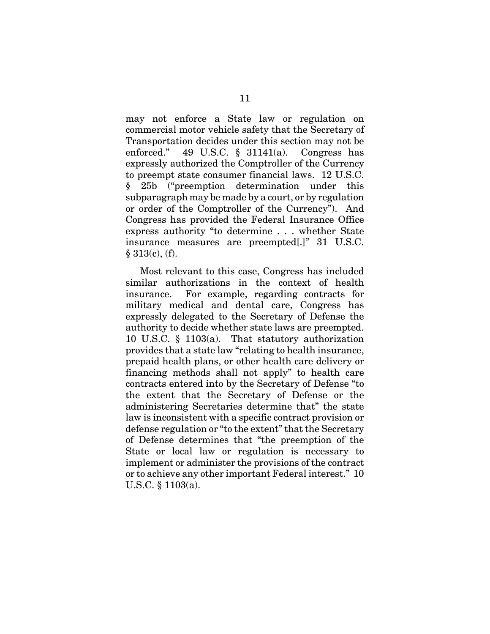may not enforce a State law or regulation on commercial motor vehicle safety that the Secretary of Transportation decides under this section may not be enforced." 49 U.S.C. § 31141(a). Congress has expressly authorized the Comptroller of the Currency to preempt state consumer financial laws. 12 U.S.C. § 25b ("preemption determination under this subparagraph may be made by a court, or by regulation or order of the Comptroller of the Currency"). And Congress has provided the Federal Insurance Office express authority "to determine . . . whether State insurance measures are preempted[.]" 31 U.S.C.  $§ 313(c), (f).$ 

Most relevant to this case, Congress has included similar authorizations in the context of health insurance. For example, regarding contracts for military medical and dental care, Congress has expressly delegated to the Secretary of Defense the authority to decide whether state laws are preempted. 10 U.S.C. § 1103(a). That statutory authorization provides that a state law "relating to health insurance, prepaid health plans, or other health care delivery or financing methods shall not apply" to health care contracts entered into by the Secretary of Defense "to the extent that the Secretary of Defense or the administering Secretaries determine that" the state law is inconsistent with a specific contract provision or defense regulation or "to the extent" that the Secretary of Defense determines that "the preemption of the State or local law or regulation is necessary to implement or administer the provisions of the contract or to achieve any other important Federal interest." 10 U.S.C. § 1103(a).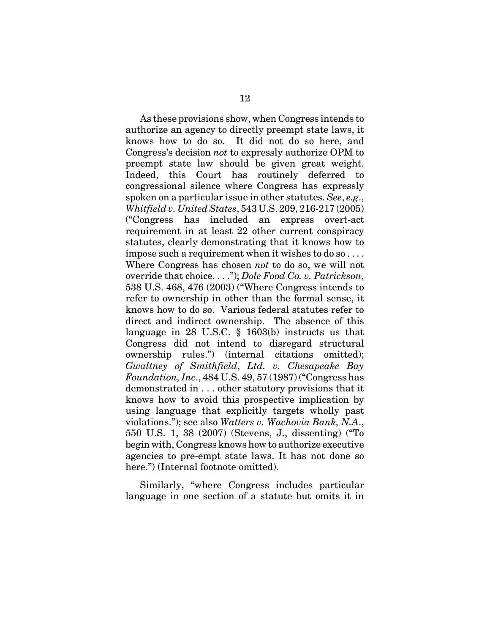As these provisions show, when Congress intends to authorize an agency to directly preempt state laws, it knows how to do so. It did not do so here, and Congress's decision *not* to expressly authorize OPM to preempt state law should be given great weight. Indeed, this Court has routinely deferred to congressional silence where Congress has expressly spoken on a particular issue in other statutes. *See*, *e.g*., *Whitfield v. United States*, 543 U.S. 209, 216-217 (2005) ("Congress has included an express overt-act requirement in at least 22 other current conspiracy statutes, clearly demonstrating that it knows how to impose such a requirement when it wishes to do so . . . . Where Congress has chosen *not* to do so, we will not override that choice. . . ."); *Dole Food Co. v. Patrickson*, 538 U.S. 468, 476 (2003) ("Where Congress intends to refer to ownership in other than the formal sense, it knows how to do so. Various federal statutes refer to direct and indirect ownership. The absence of this language in 28 U.S.C. § 1603(b) instructs us that Congress did not intend to disregard structural ownership rules.") (internal citations omitted); *Gwaltney of Smithfield*, *Ltd. v. Chesapeake Bay Foundation, Inc*., 484 U.S. 49, 57 (1987) ("Congress has demonstrated in . . . other statutory provisions that it knows how to avoid this prospective implication by using language that explicitly targets wholly past violations."); see also *Watters v. Wachovia Bank, N.A*., 550 U.S. 1, 38 (2007) (Stevens, J., dissenting) ("To begin with, Congress knows how to authorize executive agencies to pre-empt state laws. It has not done so here.") (Internal footnote omitted).

Similarly, "where Congress includes particular language in one section of a statute but omits it in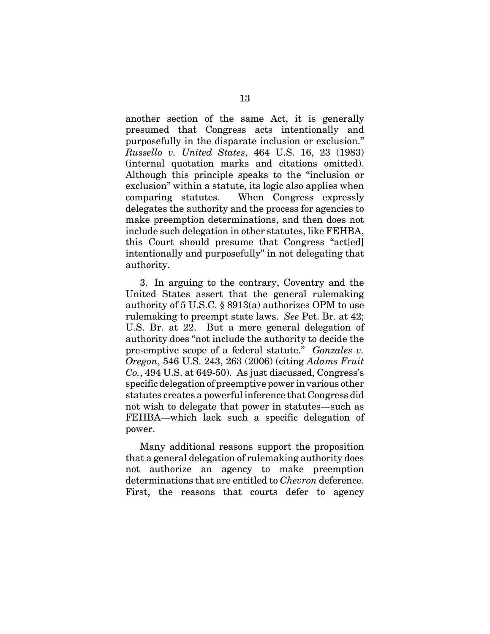another section of the same Act, it is generally presumed that Congress acts intentionally and purposefully in the disparate inclusion or exclusion." *Russello v. United States*, 464 U.S. 16, 23 (1983) (internal quotation marks and citations omitted). Although this principle speaks to the "inclusion or exclusion" within a statute, its logic also applies when comparing statutes. When Congress expressly delegates the authority and the process for agencies to make preemption determinations, and then does not include such delegation in other statutes, like FEHBA, this Court should presume that Congress "act[ed] intentionally and purposefully" in not delegating that authority.

3. In arguing to the contrary, Coventry and the United States assert that the general rulemaking authority of 5 U.S.C. § 8913(a) authorizes OPM to use rulemaking to preempt state laws. *See* Pet. Br. at 42; U.S. Br. at 22. But a mere general delegation of authority does "not include the authority to decide the pre-emptive scope of a federal statute." *Gonzales v. Oregon*, 546 U.S. 243, 263 (2006) (citing *Adams Fruit Co.*, 494 U.S. at 649-50). As just discussed, Congress's specific delegation of preemptive power in various other statutes creates a powerful inference that Congress did not wish to delegate that power in statutes—such as FEHBA—which lack such a specific delegation of power.

Many additional reasons support the proposition that a general delegation of rulemaking authority does not authorize an agency to make preemption determinations that are entitled to *Chevron* deference. First, the reasons that courts defer to agency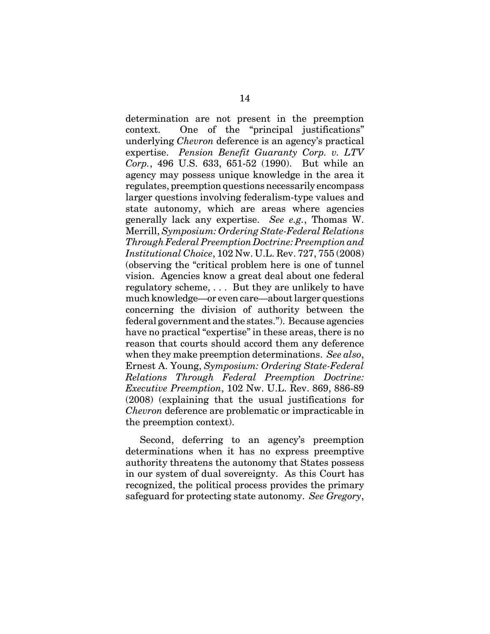determination are not present in the preemption context. One of the "principal justifications" underlying *Chevron* deference is an agency's practical expertise. *Pension Benefit Guaranty Corp. v. LTV Corp.*, 496 U.S. 633, 651-52 (1990). But while an agency may possess unique knowledge in the area it regulates, preemption questions necessarily encompass larger questions involving federalism-type values and state autonomy, which are areas where agencies generally lack any expertise. *See e.g.*, Thomas W. Merrill, *Symposium: Ordering State-Federal Relations Through Federal Preemption Doctrine: Preemption and Institutional Choice*, 102 Nw. U.L. Rev. 727, 755 (2008) (observing the "critical problem here is one of tunnel vision. Agencies know a great deal about one federal regulatory scheme, . . . But they are unlikely to have much knowledge—or even care—about larger questions concerning the division of authority between the federal government and the states."). Because agencies have no practical "expertise" in these areas, there is no reason that courts should accord them any deference when they make preemption determinations. *See also*, Ernest A. Young, *Symposium: Ordering State-Federal Relations Through Federal Preemption Doctrine: Executive Preemption*, 102 Nw. U.L. Rev. 869, 886-89 (2008) (explaining that the usual justifications for *Chevron* deference are problematic or impracticable in the preemption context).

Second, deferring to an agency's preemption determinations when it has no express preemptive authority threatens the autonomy that States possess in our system of dual sovereignty. As this Court has recognized, the political process provides the primary safeguard for protecting state autonomy. *See Gregory*,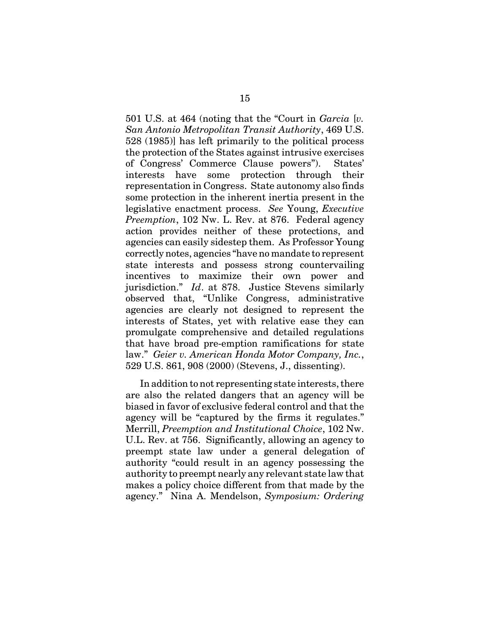501 U.S. at 464 (noting that the "Court in *Garcia* [*v. San Antonio Metropolitan Transit Authority*, 469 U.S. 528 (1985)] has left primarily to the political process the protection of the States against intrusive exercises of Congress' Commerce Clause powers"). States' interests have some protection through their representation in Congress. State autonomy also finds some protection in the inherent inertia present in the legislative enactment process. *See* Young, *Executive Preemption*, 102 Nw. L. Rev. at 876. Federal agency action provides neither of these protections, and agencies can easily sidestep them. As Professor Young correctly notes, agencies "have no mandate to represent state interests and possess strong countervailing incentives to maximize their own power and jurisdiction." *Id*. at 878. Justice Stevens similarly observed that, "Unlike Congress, administrative agencies are clearly not designed to represent the interests of States, yet with relative ease they can promulgate comprehensive and detailed regulations that have broad pre-emption ramifications for state law." *Geier v. American Honda Motor Company, Inc.*, 529 U.S. 861, 908 (2000) (Stevens, J., dissenting).

In addition to not representing state interests, there are also the related dangers that an agency will be biased in favor of exclusive federal control and that the agency will be "captured by the firms it regulates." Merrill, *Preemption and Institutional Choice*, 102 Nw. U.L. Rev. at 756. Significantly, allowing an agency to preempt state law under a general delegation of authority "could result in an agency possessing the authority to preempt nearly any relevant state law that makes a policy choice different from that made by the agency." Nina A. Mendelson, *Symposium: Ordering*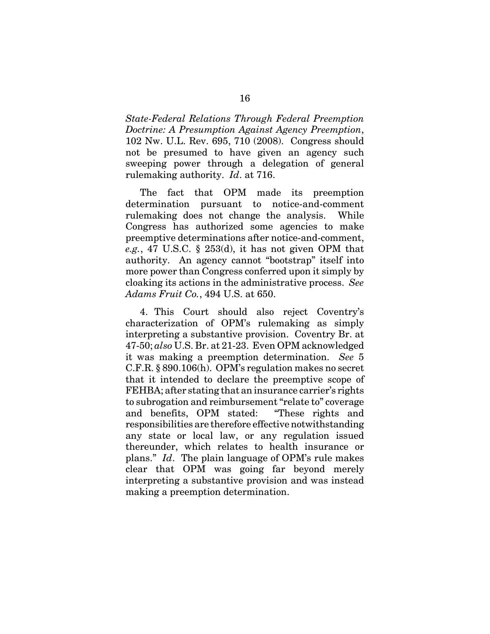*State-Federal Relations Through Federal Preemption Doctrine: A Presumption Against Agency Preemption*, 102 Nw. U.L. Rev. 695, 710 (2008). Congress should not be presumed to have given an agency such sweeping power through a delegation of general rulemaking authority. *Id*. at 716.

The fact that OPM made its preemption determination pursuant to notice-and-comment rulemaking does not change the analysis. While Congress has authorized some agencies to make preemptive determinations after notice-and-comment, *e.g.*, 47 U.S.C. § 253(d), it has not given OPM that authority. An agency cannot "bootstrap" itself into more power than Congress conferred upon it simply by cloaking its actions in the administrative process. *See Adams Fruit Co.*, 494 U.S. at 650.

4. This Court should also reject Coventry's characterization of OPM's rulemaking as simply interpreting a substantive provision. Coventry Br. at 47-50; *also* U.S. Br. at 21-23. Even OPM acknowledged it was making a preemption determination. *See* 5 C.F.R. § 890.106(h). OPM's regulation makes no secret that it intended to declare the preemptive scope of FEHBA; after stating that an insurance carrier's rights to subrogation and reimbursement "relate to" coverage and benefits, OPM stated: "These rights and responsibilities are therefore effective notwithstanding any state or local law, or any regulation issued thereunder, which relates to health insurance or plans." *Id*. The plain language of OPM's rule makes clear that OPM was going far beyond merely interpreting a substantive provision and was instead making a preemption determination.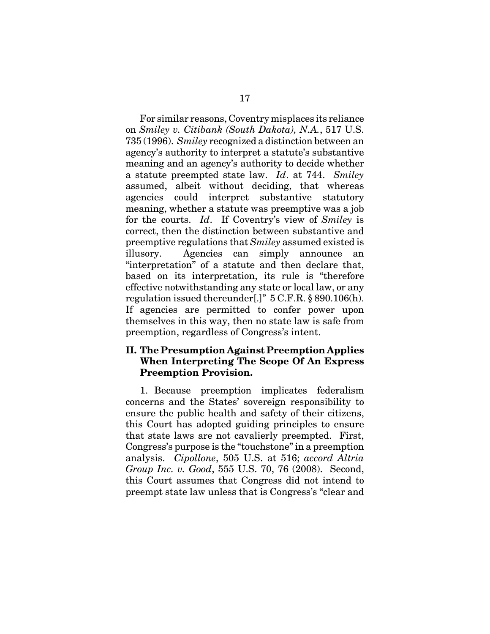For similar reasons, Coventry misplaces its reliance on *Smiley v. Citibank (South Dakota), N.A.*, 517 U.S. 735 (1996). *Smiley* recognized a distinction between an agency's authority to interpret a statute's substantive meaning and an agency's authority to decide whether a statute preempted state law. *Id*. at 744. *Smiley* assumed, albeit without deciding, that whereas agencies could interpret substantive statutory meaning, whether a statute was preemptive was a job for the courts. *Id*. If Coventry's view of *Smiley* is correct, then the distinction between substantive and preemptive regulations that *Smiley* assumed existed is illusory. Agencies can simply announce an "interpretation" of a statute and then declare that, based on its interpretation, its rule is "therefore effective notwithstanding any state or local law, or any regulation issued thereunder[.]" 5 C.F.R. § 890.106(h). If agencies are permitted to confer power upon themselves in this way, then no state law is safe from preemption, regardless of Congress's intent.

## **II. The Presumption Against Preemption Applies When Interpreting The Scope Of An Express Preemption Provision.**

1. Because preemption implicates federalism concerns and the States' sovereign responsibility to ensure the public health and safety of their citizens, this Court has adopted guiding principles to ensure that state laws are not cavalierly preempted. First, Congress's purpose is the "touchstone" in a preemption analysis. *Cipollone*, 505 U.S. at 516; *accord Altria Group Inc. v. Good*, 555 U.S. 70, 76 (2008). Second, this Court assumes that Congress did not intend to preempt state law unless that is Congress's "clear and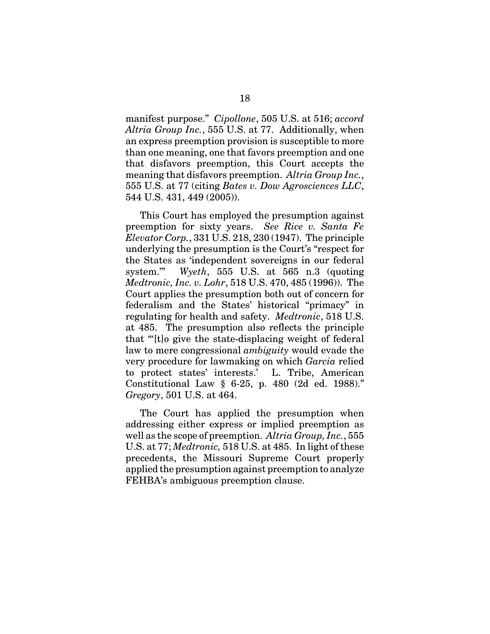manifest purpose." *Cipollone*, 505 U.S. at 516; *accord Altria Group Inc.*, 555 U.S. at 77. Additionally, when an express preemption provision is susceptible to more than one meaning, one that favors preemption and one that disfavors preemption, this Court accepts the meaning that disfavors preemption. *Altria Group Inc.*, 555 U.S. at 77 (citing *Bates v. Dow Agrosciences LLC*, 544 U.S. 431, 449 (2005)).

This Court has employed the presumption against preemption for sixty years. *See Rice v. Santa Fe Elevator Corp.*, 331 U.S. 218, 230 (1947). The principle underlying the presumption is the Court's "respect for the States as 'independent sovereigns in our federal system.'" *Wyeth*, 555 U.S. at 565 n.3 (quoting *Medtronic, Inc. v. Lohr*, 518 U.S. 470, 485 (1996)). The Court applies the presumption both out of concern for federalism and the States' historical "primacy" in regulating for health and safety. *Medtronic*, 518 U.S. at 485. The presumption also reflects the principle that "'[t]o give the state-displacing weight of federal law to mere congressional *ambiguity* would evade the very procedure for lawmaking on which *Garcia* relied to protect states' interests.' L. Tribe, American Constitutional Law § 6-25, p. 480 (2d ed. 1988)." *Gregory*, 501 U.S. at 464.

The Court has applied the presumption when addressing either express or implied preemption as well as the scope of preemption. *Altria Group, Inc.*, 555 U.S. at 77; *Medtronic,* 518 U.S. at 485. In light of these precedents, the Missouri Supreme Court properly applied the presumption against preemption to analyze FEHBA's ambiguous preemption clause.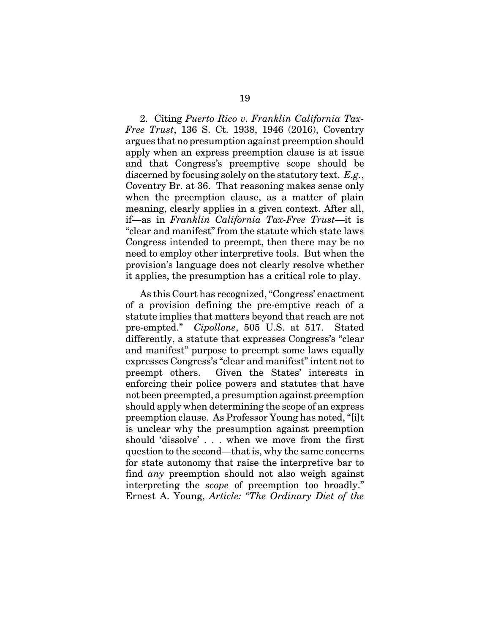2. Citing *Puerto Rico v. Franklin California Tax-Free Trust*, 136 S. Ct. 1938, 1946 (2016), Coventry argues that no presumption against preemption should apply when an express preemption clause is at issue and that Congress's preemptive scope should be discerned by focusing solely on the statutory text. *E.g.*, Coventry Br. at 36. That reasoning makes sense only when the preemption clause, as a matter of plain meaning, clearly applies in a given context. After all, if—as in *Franklin California Tax-Free Trust*—it is "clear and manifest" from the statute which state laws Congress intended to preempt, then there may be no need to employ other interpretive tools. But when the provision's language does not clearly resolve whether it applies, the presumption has a critical role to play.

As this Court has recognized, "Congress' enactment of a provision defining the pre-emptive reach of a statute implies that matters beyond that reach are not pre-empted." *Cipollone*, 505 U.S. at 517. Stated differently, a statute that expresses Congress's "clear and manifest" purpose to preempt some laws equally expresses Congress's "clear and manifest" intent not to preempt others. Given the States' interests in enforcing their police powers and statutes that have not been preempted, a presumption against preemption should apply when determining the scope of an express preemption clause. As Professor Young has noted, "[i]t is unclear why the presumption against preemption should 'dissolve' . . . when we move from the first question to the second—that is, why the same concerns for state autonomy that raise the interpretive bar to find *any* preemption should not also weigh against interpreting the *scope* of preemption too broadly." Ernest A. Young, *Article: "The Ordinary Diet of the*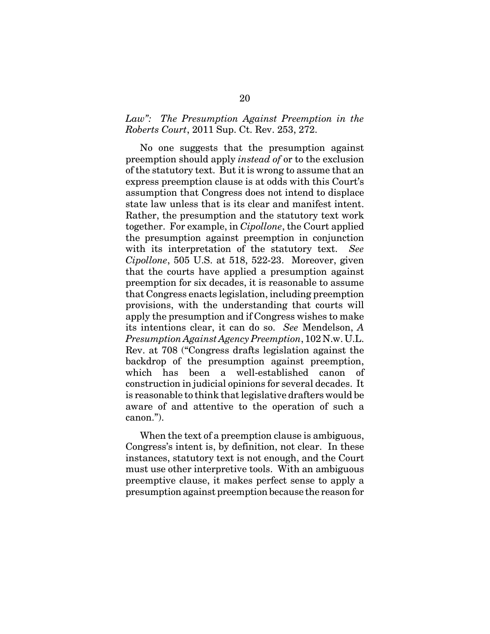## *Law": The Presumption Against Preemption in the Roberts Court*, 2011 Sup. Ct. Rev. 253, 272.

No one suggests that the presumption against preemption should apply *instead of* or to the exclusion of the statutory text. But it is wrong to assume that an express preemption clause is at odds with this Court's assumption that Congress does not intend to displace state law unless that is its clear and manifest intent. Rather, the presumption and the statutory text work together. For example, in *Cipollone*, the Court applied the presumption against preemption in conjunction with its interpretation of the statutory text. *See Cipollone*, 505 U.S. at 518, 522-23. Moreover, given that the courts have applied a presumption against preemption for six decades, it is reasonable to assume that Congress enacts legislation, including preemption provisions, with the understanding that courts will apply the presumption and if Congress wishes to make its intentions clear, it can do so. *See* Mendelson, *A Presumption Against Agency Preemption*, 102 N.w. U.L. Rev. at 708 ("Congress drafts legislation against the backdrop of the presumption against preemption, which has been a well-established canon of construction in judicial opinions for several decades. It is reasonable to think that legislative drafters would be aware of and attentive to the operation of such a canon.").

When the text of a preemption clause is ambiguous, Congress's intent is, by definition, not clear. In these instances, statutory text is not enough, and the Court must use other interpretive tools. With an ambiguous preemptive clause, it makes perfect sense to apply a presumption against preemption because the reason for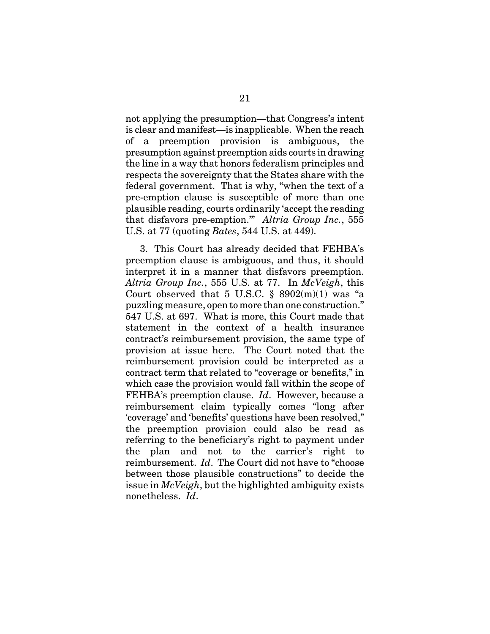not applying the presumption—that Congress's intent is clear and manifest—is inapplicable. When the reach of a preemption provision is ambiguous, the presumption against preemption aids courts in drawing the line in a way that honors federalism principles and respects the sovereignty that the States share with the federal government. That is why, "when the text of a pre-emption clause is susceptible of more than one plausible reading, courts ordinarily 'accept the reading that disfavors pre-emption.'" *Altria Group Inc.*, 555 U.S. at 77 (quoting *Bates*, 544 U.S. at 449).

3. This Court has already decided that FEHBA's preemption clause is ambiguous, and thus, it should interpret it in a manner that disfavors preemption. *Altria Group Inc.*, 555 U.S. at 77. In *McVeigh*, this Court observed that 5 U.S.C.  $\S$  8902(m)(1) was "a puzzling measure, open to more than one construction." 547 U.S. at 697. What is more, this Court made that statement in the context of a health insurance contract's reimbursement provision, the same type of provision at issue here. The Court noted that the reimbursement provision could be interpreted as a contract term that related to "coverage or benefits," in which case the provision would fall within the scope of FEHBA's preemption clause. *Id*. However, because a reimbursement claim typically comes "long after 'coverage' and 'benefits' questions have been resolved," the preemption provision could also be read as referring to the beneficiary's right to payment under the plan and not to the carrier's right to reimbursement. *Id*. The Court did not have to "choose between those plausible constructions" to decide the issue in *McVeigh*, but the highlighted ambiguity exists nonetheless. *Id*.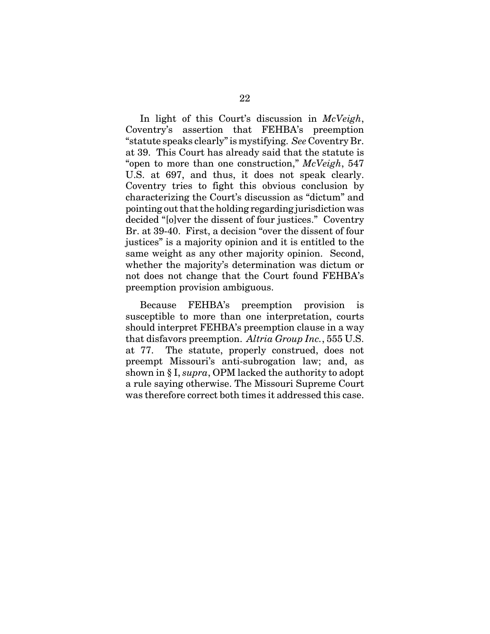In light of this Court's discussion in *McVeigh*, Coventry's assertion that FEHBA's preemption "statute speaks clearly" is mystifying. *See* Coventry Br. at 39. This Court has already said that the statute is "open to more than one construction," *McVeigh*, 547 U.S. at 697, and thus, it does not speak clearly. Coventry tries to fight this obvious conclusion by characterizing the Court's discussion as "dictum" and pointing out that the holding regarding jurisdiction was decided "[o]ver the dissent of four justices." Coventry Br. at 39-40. First, a decision "over the dissent of four justices" is a majority opinion and it is entitled to the same weight as any other majority opinion. Second, whether the majority's determination was dictum or not does not change that the Court found FEHBA's preemption provision ambiguous.

Because FEHBA's preemption provision is susceptible to more than one interpretation, courts should interpret FEHBA's preemption clause in a way that disfavors preemption. *Altria Group Inc.*, 555 U.S. at 77. The statute, properly construed, does not preempt Missouri's anti-subrogation law; and, as shown in § I, *supra*, OPM lacked the authority to adopt a rule saying otherwise. The Missouri Supreme Court was therefore correct both times it addressed this case.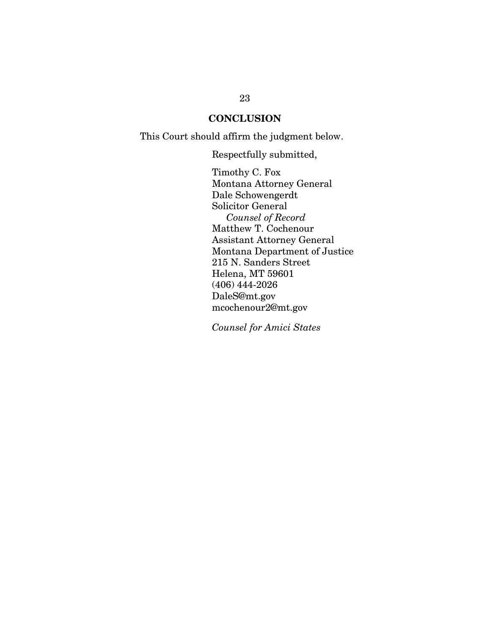# **CONCLUSION**

This Court should affirm the judgment below.

Respectfully submitted,

Timothy C. Fox Montana Attorney General Dale Schowengerdt Solicitor General *Counsel of Record* Matthew T. Cochenour Assistant Attorney General Montana Department of Justice 215 N. Sanders Street Helena, MT 59601 (406) 444-2026 DaleS@mt.gov mcochenour2@mt.gov

*Counsel for Amici States*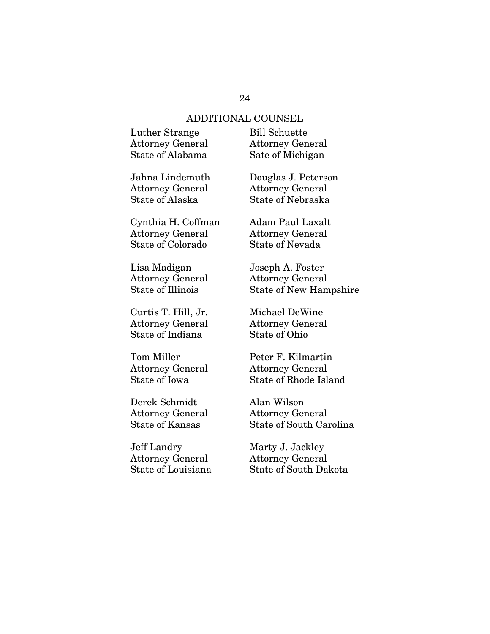#### ADDITIONAL COUNSEL

| Luther Strange          | <b>Bill Schuette</b>    |
|-------------------------|-------------------------|
| <b>Attorney General</b> | <b>Attorney General</b> |
| State of Alabama        | Sate of Michigan        |

Jahna Lindemuth Attorney General State of Alaska

Cynthia H. Coffman Attorney General State of Colorado

Lisa Madigan Attorney General State of Illinois

Curtis T. Hill, Jr. Attorney General State of Indiana

Tom Miller Attorney General State of Iowa

Derek Schmidt Attorney General State of Kansas

Jeff Landry Attorney General State of Louisiana Attorney General

Douglas J. Peterson Attorney General State of Nebraska

Adam Paul Laxalt Attorney General State of Nevada

Joseph A. Foster Attorney General State of New Hampshire

Michael DeWine Attorney General State of Ohio

Peter F. Kilmartin Attorney General State of Rhode Island

Alan Wilson Attorney General State of South Carolina

Marty J. Jackley Attorney General State of South Dakota